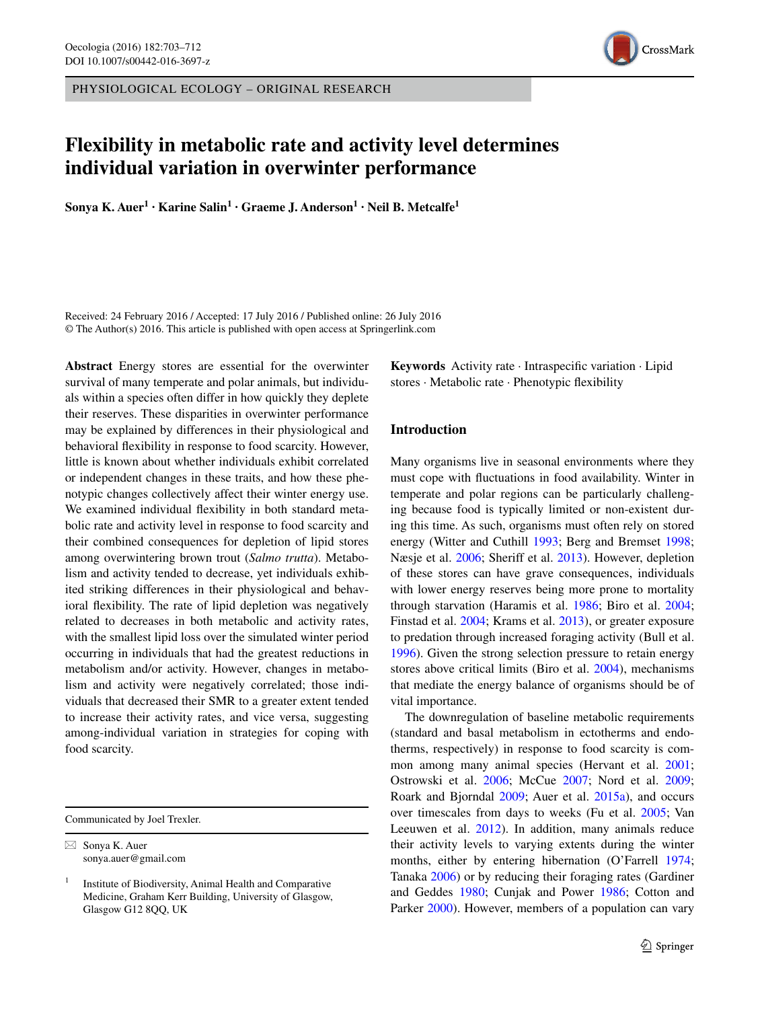PHYSIOLOGICAL ECOLOGY – ORIGINAL RESEARCH

# **Flexibility in metabolic rate and activity level determines individual variation in overwinter performance**

**Sonya K. Auer1 · Karine Salin1 · Graeme J. Anderson1 · Neil B. Metcalfe1**

Received: 24 February 2016 / Accepted: 17 July 2016 / Published online: 26 July 2016 © The Author(s) 2016. This article is published with open access at Springerlink.com

**Abstract** Energy stores are essential for the overwinter survival of many temperate and polar animals, but individuals within a species often differ in how quickly they deplete their reserves. These disparities in overwinter performance may be explained by differences in their physiological and behavioral flexibility in response to food scarcity. However, little is known about whether individuals exhibit correlated or independent changes in these traits, and how these phenotypic changes collectively affect their winter energy use. We examined individual flexibility in both standard metabolic rate and activity level in response to food scarcity and their combined consequences for depletion of lipid stores among overwintering brown trout (*Salmo trutta*). Metabolism and activity tended to decrease, yet individuals exhibited striking differences in their physiological and behavioral flexibility. The rate of lipid depletion was negatively related to decreases in both metabolic and activity rates, with the smallest lipid loss over the simulated winter period occurring in individuals that had the greatest reductions in metabolism and/or activity. However, changes in metabolism and activity were negatively correlated; those individuals that decreased their SMR to a greater extent tended to increase their activity rates, and vice versa, suggesting among-individual variation in strategies for coping with food scarcity.

Communicated by Joel Trexler.

 $\boxtimes$  Sonya K. Auer sonya.auer@gmail.com

**Keywords** Activity rate · Intraspecific variation · Lipid stores · Metabolic rate · Phenotypic flexibility

## **Introduction**

Many organisms live in seasonal environments where they must cope with fluctuations in food availability. Winter in temperate and polar regions can be particularly challenging because food is typically limited or non-existent during this time. As such, organisms must often rely on stored energy (Witter and Cuthill [1993;](#page-9-0) Berg and Bremset [1998](#page-8-0); Næsje et al. [2006](#page-9-1); Sheriff et al. [2013\)](#page-9-2). However, depletion of these stores can have grave consequences, individuals with lower energy reserves being more prone to mortality through starvation (Haramis et al. [1986](#page-8-1); Biro et al. [2004](#page-8-2); Finstad et al. [2004;](#page-8-3) Krams et al. [2013](#page-9-3)), or greater exposure to predation through increased foraging activity (Bull et al. [1996](#page-8-4)). Given the strong selection pressure to retain energy stores above critical limits (Biro et al. [2004\)](#page-8-2), mechanisms that mediate the energy balance of organisms should be of vital importance.

The downregulation of baseline metabolic requirements (standard and basal metabolism in ectotherms and endotherms, respectively) in response to food scarcity is common among many animal species (Hervant et al. [2001](#page-8-5); Ostrowski et al. [2006;](#page-9-4) McCue [2007](#page-9-5); Nord et al. [2009](#page-9-6); Roark and Bjorndal [2009](#page-9-7); Auer et al. [2015a](#page-8-6)), and occurs over timescales from days to weeks (Fu et al. [2005](#page-8-7); Van Leeuwen et al. [2012\)](#page-9-8). In addition, many animals reduce their activity levels to varying extents during the winter months, either by entering hibernation (O'Farrell [1974](#page-9-9); Tanaka [2006\)](#page-9-10) or by reducing their foraging rates (Gardiner and Geddes [1980](#page-8-8); Cunjak and Power [1986](#page-8-9); Cotton and Parker [2000](#page-8-10)). However, members of a population can vary



<sup>1</sup> Institute of Biodiversity, Animal Health and Comparative Medicine, Graham Kerr Building, University of Glasgow, Glasgow G12 8QQ, UK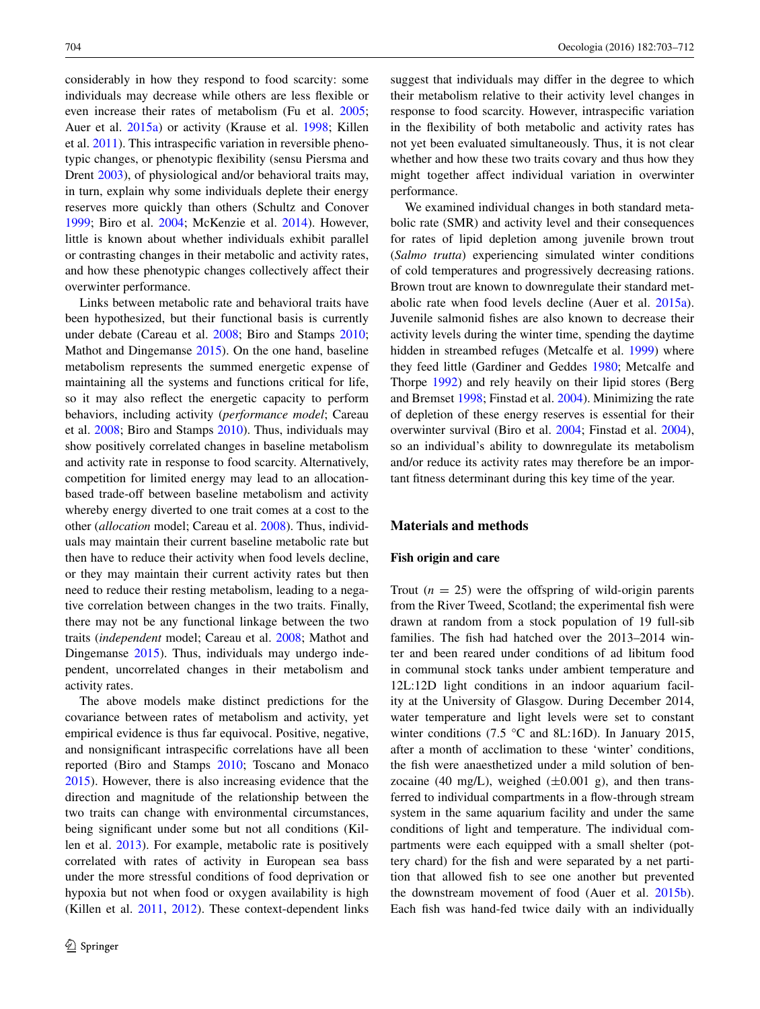considerably in how they respond to food scarcity: some individuals may decrease while others are less flexible or even increase their rates of metabolism (Fu et al. [2005](#page-8-7); Auer et al. [2015a](#page-8-6)) or activity (Krause et al. [1998](#page-9-11); Killen et al. [2011\)](#page-8-11). This intraspecific variation in reversible phenotypic changes, or phenotypic flexibility (sensu Piersma and Drent [2003\)](#page-9-12), of physiological and/or behavioral traits may, in turn, explain why some individuals deplete their energy reserves more quickly than others (Schultz and Conover [1999](#page-9-13); Biro et al. [2004](#page-8-2); McKenzie et al. [2014](#page-9-14)). However, little is known about whether individuals exhibit parallel or contrasting changes in their metabolic and activity rates, and how these phenotypic changes collectively affect their overwinter performance.

Links between metabolic rate and behavioral traits have been hypothesized, but their functional basis is currently under debate (Careau et al. [2008](#page-8-12); Biro and Stamps [2010](#page-8-13); Mathot and Dingemanse [2015\)](#page-9-15). On the one hand, baseline metabolism represents the summed energetic expense of maintaining all the systems and functions critical for life, so it may also reflect the energetic capacity to perform behaviors, including activity (*performance model*; Careau et al. [2008](#page-8-12); Biro and Stamps [2010\)](#page-8-13). Thus, individuals may show positively correlated changes in baseline metabolism and activity rate in response to food scarcity. Alternatively, competition for limited energy may lead to an allocationbased trade-off between baseline metabolism and activity whereby energy diverted to one trait comes at a cost to the other (*allocation* model; Careau et al. [2008](#page-8-12)). Thus, individuals may maintain their current baseline metabolic rate but then have to reduce their activity when food levels decline, or they may maintain their current activity rates but then need to reduce their resting metabolism, leading to a negative correlation between changes in the two traits. Finally, there may not be any functional linkage between the two traits (*independent* model; Careau et al. [2008](#page-8-12); Mathot and Dingemanse [2015](#page-9-15)). Thus, individuals may undergo independent, uncorrelated changes in their metabolism and activity rates.

The above models make distinct predictions for the covariance between rates of metabolism and activity, yet empirical evidence is thus far equivocal. Positive, negative, and nonsignificant intraspecific correlations have all been reported (Biro and Stamps [2010](#page-8-13); Toscano and Monaco [2015](#page-9-16)). However, there is also increasing evidence that the direction and magnitude of the relationship between the two traits can change with environmental circumstances, being significant under some but not all conditions (Killen et al. [2013](#page-9-17)). For example, metabolic rate is positively correlated with rates of activity in European sea bass under the more stressful conditions of food deprivation or hypoxia but not when food or oxygen availability is high (Killen et al. [2011](#page-8-11), [2012\)](#page-8-14). These context-dependent links suggest that individuals may differ in the degree to which their metabolism relative to their activity level changes in response to food scarcity. However, intraspecific variation in the flexibility of both metabolic and activity rates has not yet been evaluated simultaneously. Thus, it is not clear whether and how these two traits covary and thus how they might together affect individual variation in overwinter performance.

We examined individual changes in both standard metabolic rate (SMR) and activity level and their consequences for rates of lipid depletion among juvenile brown trout (*Salmo trutta*) experiencing simulated winter conditions of cold temperatures and progressively decreasing rations. Brown trout are known to downregulate their standard metabolic rate when food levels decline (Auer et al. [2015a](#page-8-6)). Juvenile salmonid fishes are also known to decrease their activity levels during the winter time, spending the daytime hidden in streambed refuges (Metcalfe et al. [1999\)](#page-9-18) where they feed little (Gardiner and Geddes [1980](#page-8-8); Metcalfe and Thorpe [1992\)](#page-9-19) and rely heavily on their lipid stores (Berg and Bremset [1998;](#page-8-0) Finstad et al. [2004\)](#page-8-3). Minimizing the rate of depletion of these energy reserves is essential for their overwinter survival (Biro et al. [2004;](#page-8-2) Finstad et al. [2004](#page-8-3)), so an individual's ability to downregulate its metabolism and/or reduce its activity rates may therefore be an important fitness determinant during this key time of the year.

## **Materials and methods**

## **Fish origin and care**

Trout  $(n = 25)$  were the offspring of wild-origin parents from the River Tweed, Scotland; the experimental fish were drawn at random from a stock population of 19 full-sib families. The fish had hatched over the 2013–2014 winter and been reared under conditions of ad libitum food in communal stock tanks under ambient temperature and 12L:12D light conditions in an indoor aquarium facility at the University of Glasgow. During December 2014, water temperature and light levels were set to constant winter conditions (7.5 °C and 8L:16D). In January 2015, after a month of acclimation to these 'winter' conditions, the fish were anaesthetized under a mild solution of benzocaine (40 mg/L), weighed  $(\pm 0.001 \text{ g})$ , and then transferred to individual compartments in a flow-through stream system in the same aquarium facility and under the same conditions of light and temperature. The individual compartments were each equipped with a small shelter (pottery chard) for the fish and were separated by a net partition that allowed fish to see one another but prevented the downstream movement of food (Auer et al. [2015b](#page-8-15)). Each fish was hand-fed twice daily with an individually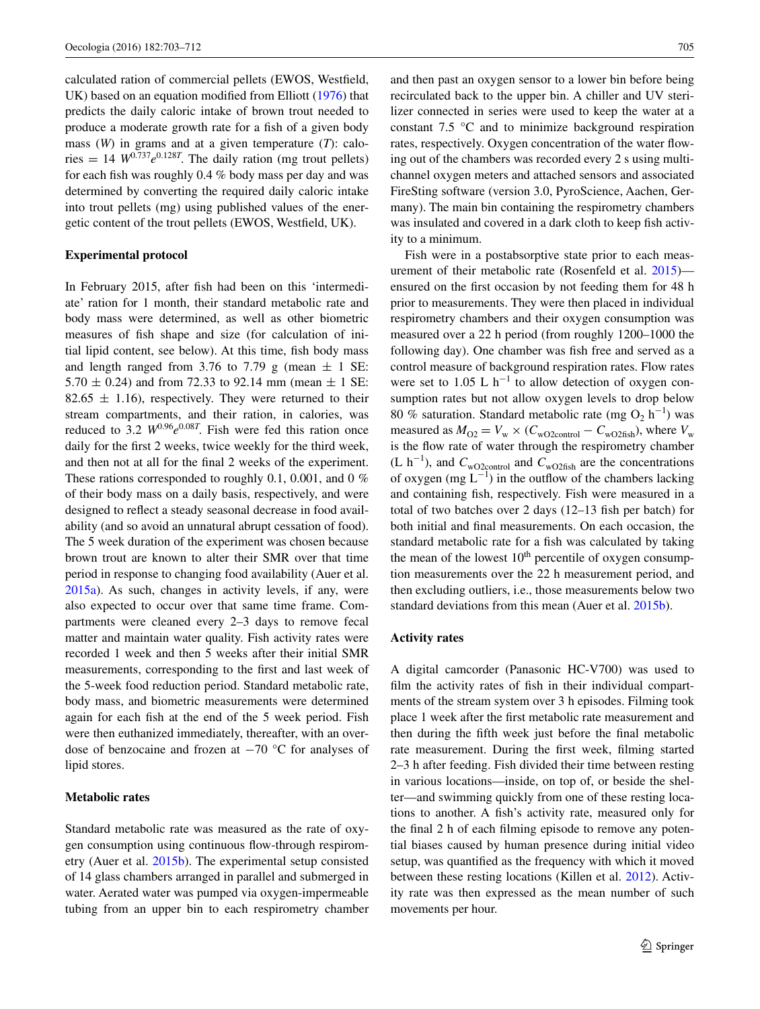calculated ration of commercial pellets (EWOS, Westfield, UK) based on an equation modified from Elliott [\(1976](#page-8-16)) that predicts the daily caloric intake of brown trout needed to produce a moderate growth rate for a fish of a given body mass (*W*) in grams and at a given temperature (*T*): calories = 14  $W^{0.737}e^{0.128T}$ . The daily ration (mg trout pellets) for each fish was roughly 0.4 % body mass per day and was determined by converting the required daily caloric intake into trout pellets (mg) using published values of the energetic content of the trout pellets (EWOS, Westfield, UK).

## **Experimental protocol**

In February 2015, after fish had been on this 'intermediate' ration for 1 month, their standard metabolic rate and body mass were determined, as well as other biometric measures of fish shape and size (for calculation of initial lipid content, see below). At this time, fish body mass and length ranged from 3.76 to 7.79 g (mean  $\pm$  1 SE: 5.70  $\pm$  0.24) and from 72.33 to 92.14 mm (mean  $\pm$  1 SE: 82.65  $\pm$  1.16), respectively. They were returned to their stream compartments, and their ration, in calories, was reduced to 3.2  $W^{0.96}e^{0.08T}$ . Fish were fed this ration once daily for the first 2 weeks, twice weekly for the third week, and then not at all for the final 2 weeks of the experiment. These rations corresponded to roughly 0.1, 0.001, and 0 % of their body mass on a daily basis, respectively, and were designed to reflect a steady seasonal decrease in food availability (and so avoid an unnatural abrupt cessation of food). The 5 week duration of the experiment was chosen because brown trout are known to alter their SMR over that time period in response to changing food availability (Auer et al. [2015a](#page-8-6)). As such, changes in activity levels, if any, were also expected to occur over that same time frame. Compartments were cleaned every 2–3 days to remove fecal matter and maintain water quality. Fish activity rates were recorded 1 week and then 5 weeks after their initial SMR measurements, corresponding to the first and last week of the 5-week food reduction period. Standard metabolic rate, body mass, and biometric measurements were determined again for each fish at the end of the 5 week period. Fish were then euthanized immediately, thereafter, with an overdose of benzocaine and frozen at −70 °C for analyses of lipid stores.

# **Metabolic rates**

Standard metabolic rate was measured as the rate of oxygen consumption using continuous flow-through respirometry (Auer et al. [2015b\)](#page-8-15). The experimental setup consisted of 14 glass chambers arranged in parallel and submerged in water. Aerated water was pumped via oxygen-impermeable tubing from an upper bin to each respirometry chamber and then past an oxygen sensor to a lower bin before being recirculated back to the upper bin. A chiller and UV sterilizer connected in series were used to keep the water at a constant 7.5 °C and to minimize background respiration rates, respectively. Oxygen concentration of the water flowing out of the chambers was recorded every 2 s using multichannel oxygen meters and attached sensors and associated FireSting software (version 3.0, PyroScience, Aachen, Germany). The main bin containing the respirometry chambers was insulated and covered in a dark cloth to keep fish activity to a minimum.

Fish were in a postabsorptive state prior to each measurement of their metabolic rate (Rosenfeld et al. [2015\)](#page-9-20) ensured on the first occasion by not feeding them for 48 h prior to measurements. They were then placed in individual respirometry chambers and their oxygen consumption was measured over a 22 h period (from roughly 1200–1000 the following day). One chamber was fish free and served as a control measure of background respiration rates. Flow rates were set to 1.05 L  $h^{-1}$  to allow detection of oxygen consumption rates but not allow oxygen levels to drop below 80 % saturation. Standard metabolic rate (mg O<sub>2</sub> h<sup>-1</sup>) was measured as  $M_{\text{O2}} = V_{\text{w}} \times (C_{\text{wO2control}} - C_{\text{wO2fish}})$ , where  $V_{\text{w}}$ is the flow rate of water through the respirometry chamber (L h<sup>-1</sup>), and  $C_{\text{wO2control}}$  and  $C_{\text{wO2fish}}$  are the concentrations of oxygen (mg  $L^{-1}$ ) in the outflow of the chambers lacking and containing fish, respectively. Fish were measured in a total of two batches over 2 days (12–13 fish per batch) for both initial and final measurements. On each occasion, the standard metabolic rate for a fish was calculated by taking the mean of the lowest  $10<sup>th</sup>$  percentile of oxygen consumption measurements over the 22 h measurement period, and then excluding outliers, i.e., those measurements below two standard deviations from this mean (Auer et al. [2015b\)](#page-8-15).

## **Activity rates**

A digital camcorder (Panasonic HC-V700) was used to film the activity rates of fish in their individual compartments of the stream system over 3 h episodes. Filming took place 1 week after the first metabolic rate measurement and then during the fifth week just before the final metabolic rate measurement. During the first week, filming started 2–3 h after feeding. Fish divided their time between resting in various locations—inside, on top of, or beside the shelter—and swimming quickly from one of these resting locations to another. A fish's activity rate, measured only for the final 2 h of each filming episode to remove any potential biases caused by human presence during initial video setup, was quantified as the frequency with which it moved between these resting locations (Killen et al. [2012\)](#page-8-14). Activity rate was then expressed as the mean number of such movements per hour.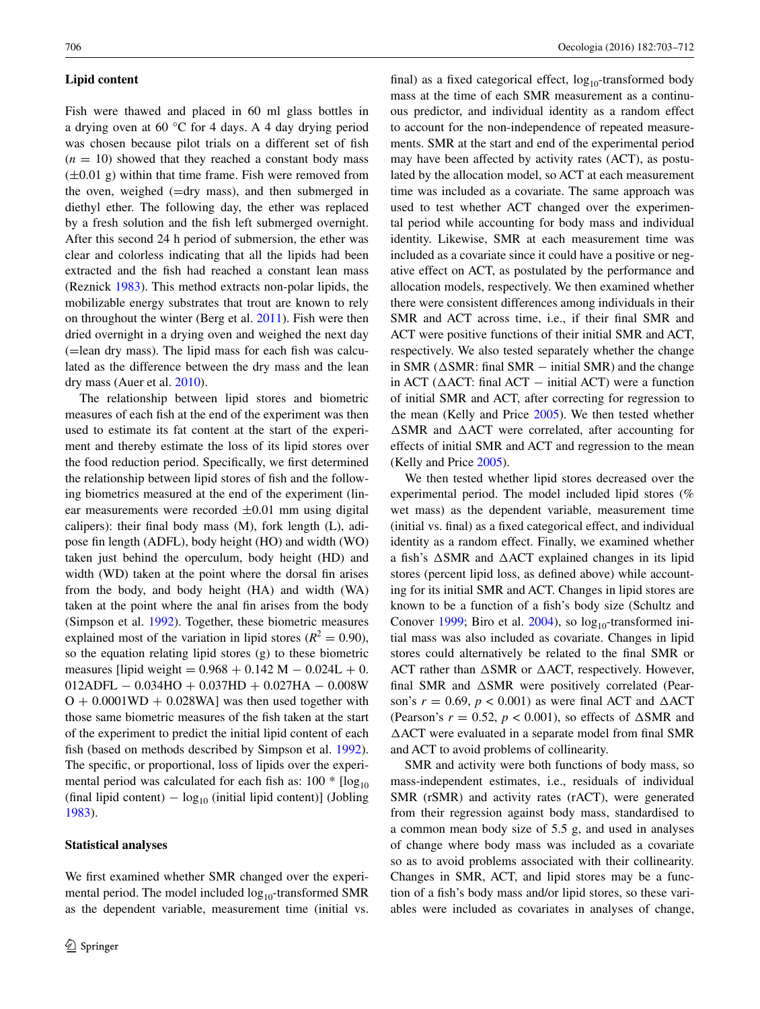## **Lipid content**

Fish were thawed and placed in 60 ml glass bottles in a drying oven at 60 °C for 4 days. A 4 day drying period was chosen because pilot trials on a different set of fish  $(n = 10)$  showed that they reached a constant body mass  $(\pm 0.01 \text{ g})$  within that time frame. Fish were removed from the oven, weighed  $(=\mathrm{dry \ mass})$ , and then submerged in diethyl ether. The following day, the ether was replaced by a fresh solution and the fish left submerged overnight. After this second 24 h period of submersion, the ether was clear and colorless indicating that all the lipids had been extracted and the fish had reached a constant lean mass (Reznick [1983](#page-9-21)). This method extracts non-polar lipids, the mobilizable energy substrates that trout are known to rely on throughout the winter (Berg et al. [2011](#page-8-17)). Fish were then dried overnight in a drying oven and weighed the next day (=lean dry mass). The lipid mass for each fish was calculated as the difference between the dry mass and the lean dry mass (Auer et al. [2010](#page-8-18)).

The relationship between lipid stores and biometric measures of each fish at the end of the experiment was then used to estimate its fat content at the start of the experiment and thereby estimate the loss of its lipid stores over the food reduction period. Specifically, we first determined the relationship between lipid stores of fish and the following biometrics measured at the end of the experiment (linear measurements were recorded  $\pm 0.01$  mm using digital calipers): their final body mass (M), fork length (L), adipose fin length (ADFL), body height (HO) and width (WO) taken just behind the operculum, body height (HD) and width (WD) taken at the point where the dorsal fin arises from the body, and body height (HA) and width (WA) taken at the point where the anal fin arises from the body (Simpson et al. [1992](#page-9-22)). Together, these biometric measures explained most of the variation in lipid stores ( $R^2 = 0.90$ ), so the equation relating lipid stores (g) to these biometric measures [lipid weight =  $0.968 + 0.142$  M  $- 0.024L + 0$ .  $012ADFL - 0.034HO + 0.037HD + 0.027HA - 0.008W$  $O + 0.0001WD + 0.028WA$ ] was then used together with those same biometric measures of the fish taken at the start of the experiment to predict the initial lipid content of each fish (based on methods described by Simpson et al. [1992](#page-9-22)). The specific, or proportional, loss of lipids over the experimental period was calculated for each fish as:  $100 * [log_{10}$ (final lipid content)  $- \log_{10}$  (initial lipid content)] (Jobling [1983](#page-8-19)).

## **Statistical analyses**

We first examined whether SMR changed over the experimental period. The model included  $log_{10}$ -transformed SMR as the dependent variable, measurement time (initial vs.

final) as a fixed categorical effect,  $log_{10}$ -transformed body mass at the time of each SMR measurement as a continuous predictor, and individual identity as a random effect to account for the non-independence of repeated measurements. SMR at the start and end of the experimental period may have been affected by activity rates (ACT), as postulated by the allocation model, so ACT at each measurement time was included as a covariate. The same approach was used to test whether ACT changed over the experimental period while accounting for body mass and individual identity. Likewise, SMR at each measurement time was included as a covariate since it could have a positive or negative effect on ACT, as postulated by the performance and allocation models, respectively. We then examined whether there were consistent differences among individuals in their SMR and ACT across time, i.e., if their final SMR and ACT were positive functions of their initial SMR and ACT, respectively. We also tested separately whether the change in SMR ( $\triangle$ SMR: final SMR  $-$  initial SMR) and the change in ACT ( $\triangle$ ACT: final ACT – initial ACT) were a function of initial SMR and ACT, after correcting for regression to the mean (Kelly and Price [2005](#page-8-20)). We then tested whether ΔSMR and ΔACT were correlated, after accounting for effects of initial SMR and ACT and regression to the mean (Kelly and Price [2005\)](#page-8-20).

We then tested whether lipid stores decreased over the experimental period. The model included lipid stores (% wet mass) as the dependent variable, measurement time (initial vs. final) as a fixed categorical effect, and individual identity as a random effect. Finally, we examined whether a fish's ΔSMR and ΔACT explained changes in its lipid stores (percent lipid loss, as defined above) while accounting for its initial SMR and ACT. Changes in lipid stores are known to be a function of a fish's body size (Schultz and Conover [1999;](#page-9-13) Biro et al. [2004](#page-8-2)), so  $log_{10}$ -transformed initial mass was also included as covariate. Changes in lipid stores could alternatively be related to the final SMR or ACT rather than ΔSMR or ΔACT, respectively. However, final SMR and ΔSMR were positively correlated (Pearson's  $r = 0.69$ ,  $p < 0.001$ ) as were final ACT and  $\triangle$ ACT (Pearson's  $r = 0.52$ ,  $p < 0.001$ ), so effects of  $\triangle$ SMR and ΔACT were evaluated in a separate model from final SMR and ACT to avoid problems of collinearity.

SMR and activity were both functions of body mass, so mass-independent estimates, i.e., residuals of individual SMR (rSMR) and activity rates (rACT), were generated from their regression against body mass, standardised to a common mean body size of 5.5 g, and used in analyses of change where body mass was included as a covariate so as to avoid problems associated with their collinearity. Changes in SMR, ACT, and lipid stores may be a function of a fish's body mass and/or lipid stores, so these variables were included as covariates in analyses of change,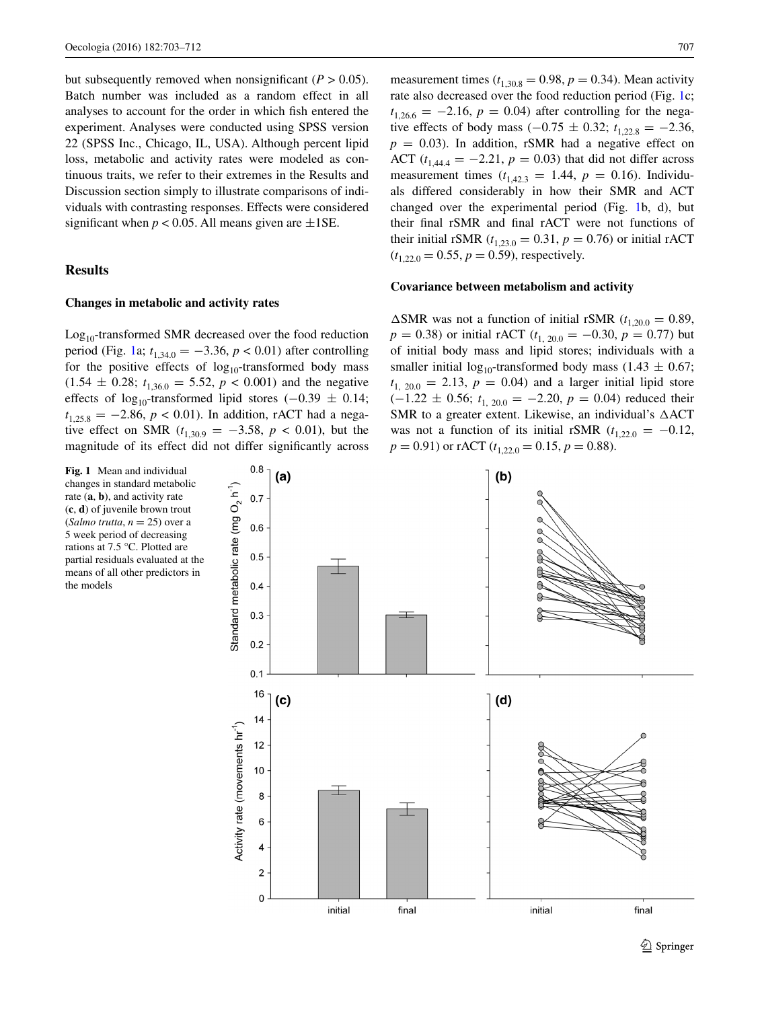but subsequently removed when nonsignificant  $(P > 0.05)$ . Batch number was included as a random effect in all analyses to account for the order in which fish entered the experiment. Analyses were conducted using SPSS version 22 (SPSS Inc., Chicago, IL, USA). Although percent lipid loss, metabolic and activity rates were modeled as continuous traits, we refer to their extremes in the Results and Discussion section simply to illustrate comparisons of individuals with contrasting responses. Effects were considered significant when  $p < 0.05$ . All means given are  $\pm$ 1SE.

# **Results**

#### **Changes in metabolic and activity rates**

 $Log<sub>10</sub>$ -transformed SMR decreased over the food reduction period (Fig. [1](#page-4-0)a;  $t_{1,34.0} = -3.36$ ,  $p < 0.01$ ) after controlling for the positive effects of  $log_{10}$ -transformed body mass  $(1.54 \pm 0.28; t_{1.36.0} = 5.52, p < 0.001)$  and the negative effects of log<sub>10</sub>-transformed lipid stores ( $-0.39 \pm 0.14$ ;  $t_{1,25.8} = -2.86, p < 0.01$ ). In addition, rACT had a negative effect on SMR  $(t_{1,30.9} = -3.58, p < 0.01)$ , but the magnitude of its effect did not differ significantly across

<span id="page-4-0"></span>**Fig. 1** Mean and individual changes in standard metabolic rate (**a**, **b**), and activity rate (**c**, **d**) of juvenile brown trout  $(Salmo trutha, n = 25) over a$ 5 week period of decreasing rations at 7.5 °C. Plotted are partial residuals evaluated at the means of all other predictors in the models

measurement times  $(t_{1,30.8} = 0.98, p = 0.34)$ . Mean activity rate also decreased over the food reduction period (Fig. [1](#page-4-0)c;  $t_{1,26.6} = -2.16$ ,  $p = 0.04$ ) after controlling for the negative effects of body mass ( $-0.75 \pm 0.32$ ;  $t_{1,22.8} = -2.36$ ,  $p = 0.03$ ). In addition, rSMR had a negative effect on ACT  $(t_{1,44,4} = -2.21, p = 0.03)$  that did not differ across measurement times  $(t_{1,42.3} = 1.44, p = 0.16)$ . Individuals differed considerably in how their SMR and ACT changed over the experimental period (Fig. [1b](#page-4-0), d), but their final rSMR and final rACT were not functions of their initial rSMR ( $t_{1,23,0} = 0.31$ ,  $p = 0.76$ ) or initial rACT  $(t_{1,22.0} = 0.55, p = 0.59)$ , respectively.

## **Covariance between metabolism and activity**

 $\triangle$ SMR was not a function of initial rSMR ( $t_{1,20.0} = 0.89$ ,  $p = 0.38$ ) or initial rACT ( $t_{1, 20.0} = -0.30$ ,  $p = 0.77$ ) but of initial body mass and lipid stores; individuals with a smaller initial log<sub>10</sub>-transformed body mass (1.43  $\pm$  0.67;  $t_{1, 20.0} = 2.13$ ,  $p = 0.04$ ) and a larger initial lipid store  $(-1.22 \pm 0.56; t_{1,20.0} = -2.20, p = 0.04)$  reduced their SMR to a greater extent. Likewise, an individual's ΔACT was not a function of its initial rSMR  $(t_{1,22.0} = -0.12,$  $p = 0.91$ ) or rACT ( $t_{1,22.0} = 0.15$ ,  $p = 0.88$ ).

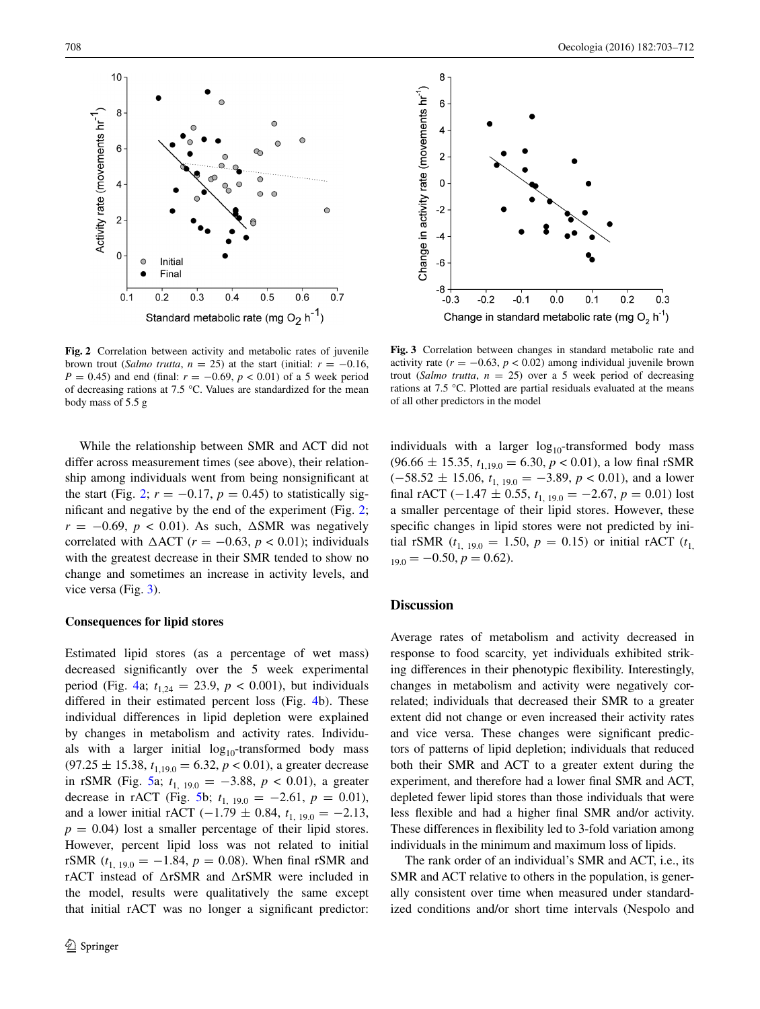

<span id="page-5-0"></span>**Fig. 2** Correlation between activity and metabolic rates of juvenile brown trout (*Salmo trutta*,  $n = 25$ ) at the start (initial:  $r = -0.16$ , *P* = 0.45) and end (final: *r* = −0.69, *p* < 0.01) of a 5 week period of decreasing rations at 7.5 °C. Values are standardized for the mean body mass of 5.5 g

While the relationship between SMR and ACT did not differ across measurement times (see above), their relationship among individuals went from being nonsignificant at the start (Fig. [2;](#page-5-0)  $r = -0.17$ ,  $p = 0.45$ ) to statistically significant and negative by the end of the experiment (Fig. [2](#page-5-0);  $r = -0.69$ ,  $p < 0.01$ ). As such,  $\Delta$ SMR was negatively correlated with  $\triangle$ ACT ( $r = -0.63$ ,  $p < 0.01$ ); individuals with the greatest decrease in their SMR tended to show no change and sometimes an increase in activity levels, and vice versa (Fig. [3](#page-5-1)).

#### **Consequences for lipid stores**

Estimated lipid stores (as a percentage of wet mass) decreased significantly over the 5 week experimental period (Fig. [4](#page-6-0)a;  $t_{1,24} = 23.9$ ,  $p < 0.001$ ), but individuals differed in their estimated percent loss (Fig. [4b](#page-6-0)). These individual differences in lipid depletion were explained by changes in metabolism and activity rates. Individuals with a larger initial  $log_{10}$ -transformed body mass  $(97.25 \pm 15.38, t_{1,19.0} = 6.32, p < 0.01)$ , a greater decrease in rSMR (Fig. [5a](#page-6-1);  $t_{1, 19.0} = -3.88$ ,  $p < 0.01$ ), a greater decrease in rACT (Fig. [5b](#page-6-1);  $t_{1, 19.0} = -2.61$ ,  $p = 0.01$ ), and a lower initial rACT ( $-1.79 \pm 0.84$ ,  $t_{1, 19.0} = -2.13$ ,  $p = 0.04$ ) lost a smaller percentage of their lipid stores. However, percent lipid loss was not related to initial rSMR ( $t_{1, 19.0} = -1.84$ ,  $p = 0.08$ ). When final rSMR and rACT instead of ΔrSMR and ΔrSMR were included in the model, results were qualitatively the same except that initial rACT was no longer a significant predictor:



<span id="page-5-1"></span>**Fig. 3** Correlation between changes in standard metabolic rate and activity rate  $(r = -0.63, p < 0.02)$  among individual juvenile brown trout (*Salmo trutta*,  $n = 25$ ) over a 5 week period of decreasing rations at 7.5 °C. Plotted are partial residuals evaluated at the means of all other predictors in the model

individuals with a larger  $log_{10}$ -transformed body mass  $(96.66 \pm 15.35, t_{1,19.0} = 6.30, p < 0.01)$ , a low final rSMR  $(-58.52 \pm 15.06, t_{1, 19.0} = -3.89, p < 0.01)$ , and a lower final rACT ( $-1.47 \pm 0.55$ ,  $t_{1, 19.0} = -2.67$ ,  $p = 0.01$ ) lost a smaller percentage of their lipid stores. However, these specific changes in lipid stores were not predicted by initial rSMR ( $t_{1, 19.0} = 1.50$ ,  $p = 0.15$ ) or initial rACT ( $t_{1}$ )  $_{19.0} = -0.50, p = 0.62$ .

## **Discussion**

Average rates of metabolism and activity decreased in response to food scarcity, yet individuals exhibited striking differences in their phenotypic flexibility. Interestingly, changes in metabolism and activity were negatively correlated; individuals that decreased their SMR to a greater extent did not change or even increased their activity rates and vice versa. These changes were significant predictors of patterns of lipid depletion; individuals that reduced both their SMR and ACT to a greater extent during the experiment, and therefore had a lower final SMR and ACT, depleted fewer lipid stores than those individuals that were less flexible and had a higher final SMR and/or activity. These differences in flexibility led to 3-fold variation among individuals in the minimum and maximum loss of lipids.

The rank order of an individual's SMR and ACT, i.e., its SMR and ACT relative to others in the population, is generally consistent over time when measured under standardized conditions and/or short time intervals (Nespolo and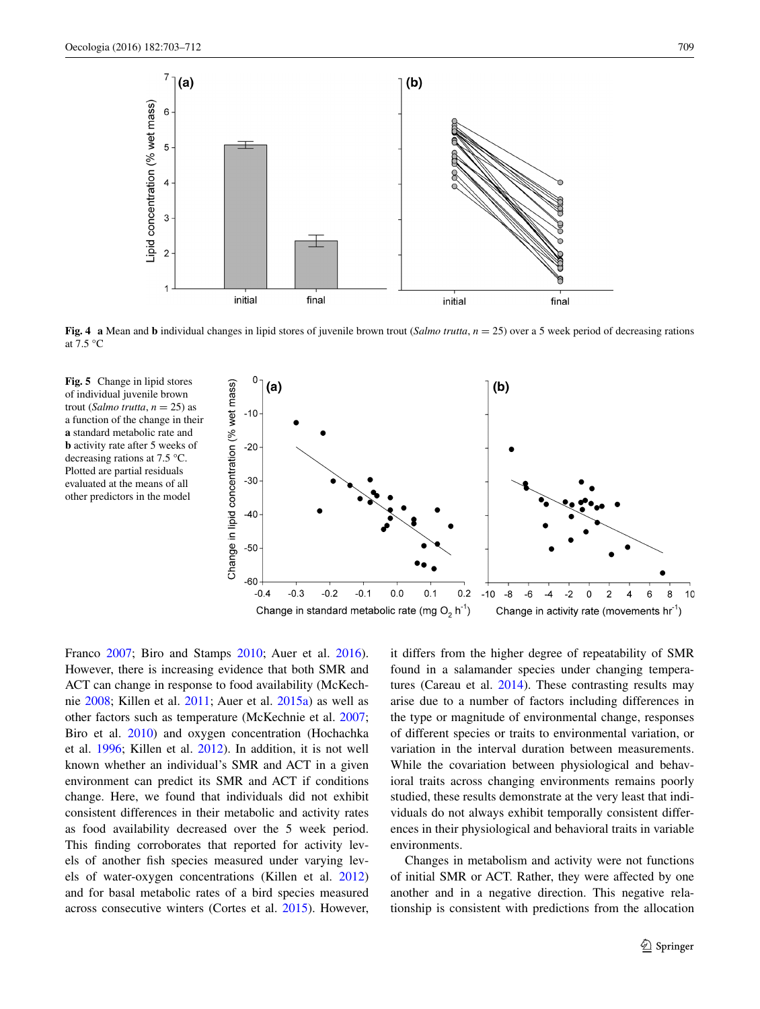

<span id="page-6-0"></span>**Fig. 4** a Mean and **b** individual changes in lipid stores of juvenile brown trout (*Salmo trutta*,  $n = 25$ ) over a 5 week period of decreasing rations at 7.5 °C

<span id="page-6-1"></span>**Fig. 5** Change in lipid stores of individual juvenile brown trout (*Salmo trutta*,  $n = 25$ ) as a function of the change in their **a** standard metabolic rate and **b** activity rate after 5 weeks of decreasing rations at 7.5 °C. Plotted are partial residuals evaluated at the means of all other predictors in the model



Franco [2007](#page-9-23); Biro and Stamps [2010;](#page-8-13) Auer et al. [2016](#page-8-21)). However, there is increasing evidence that both SMR and ACT can change in response to food availability (McKechnie [2008;](#page-9-24) Killen et al. [2011;](#page-8-11) Auer et al. [2015a\)](#page-8-6) as well as other factors such as temperature (McKechnie et al. [2007](#page-9-25); Biro et al. [2010](#page-8-22)) and oxygen concentration (Hochachka et al. [1996](#page-8-23); Killen et al. [2012](#page-8-14)). In addition, it is not well known whether an individual's SMR and ACT in a given environment can predict its SMR and ACT if conditions change. Here, we found that individuals did not exhibit consistent differences in their metabolic and activity rates as food availability decreased over the 5 week period. This finding corroborates that reported for activity levels of another fish species measured under varying levels of water-oxygen concentrations (Killen et al. [2012\)](#page-8-14) and for basal metabolic rates of a bird species measured across consecutive winters (Cortes et al. [2015](#page-8-24)). However,

it differs from the higher degree of repeatability of SMR found in a salamander species under changing temperatures (Careau et al. [2014\)](#page-8-25). These contrasting results may arise due to a number of factors including differences in the type or magnitude of environmental change, responses of different species or traits to environmental variation, or variation in the interval duration between measurements. While the covariation between physiological and behavioral traits across changing environments remains poorly studied, these results demonstrate at the very least that individuals do not always exhibit temporally consistent differences in their physiological and behavioral traits in variable environments.

Changes in metabolism and activity were not functions of initial SMR or ACT. Rather, they were affected by one another and in a negative direction. This negative relationship is consistent with predictions from the allocation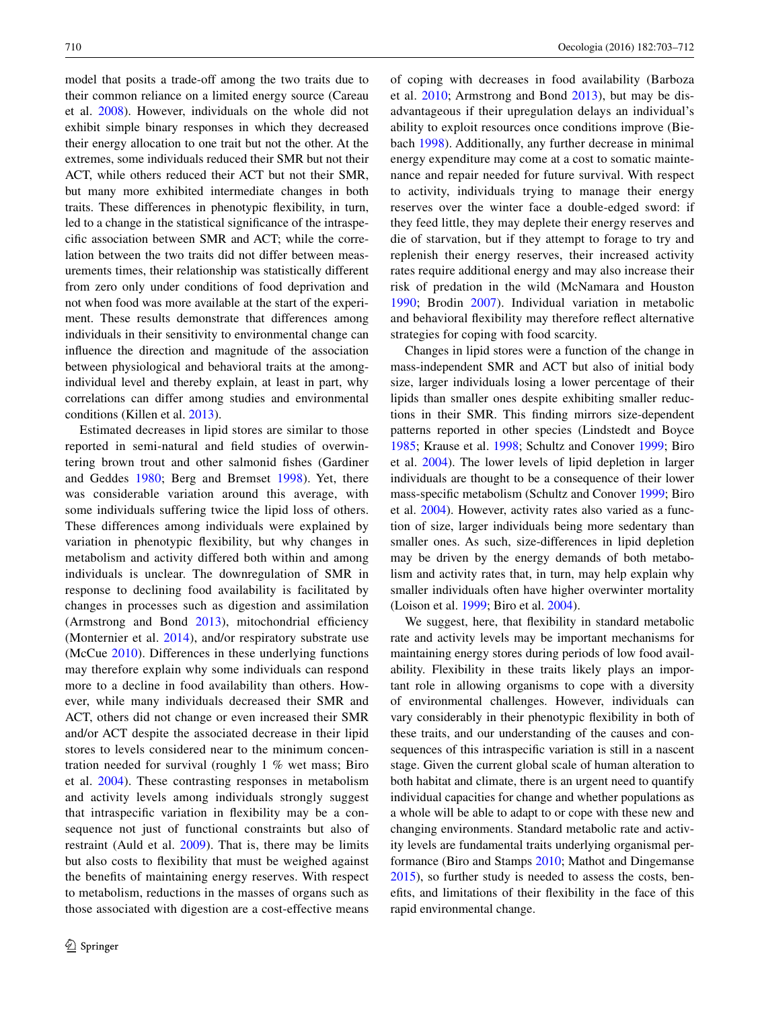model that posits a trade-off among the two traits due to their common reliance on a limited energy source (Careau et al. [2008](#page-8-12)). However, individuals on the whole did not exhibit simple binary responses in which they decreased their energy allocation to one trait but not the other. At the extremes, some individuals reduced their SMR but not their ACT, while others reduced their ACT but not their SMR, but many more exhibited intermediate changes in both traits. These differences in phenotypic flexibility, in turn, led to a change in the statistical significance of the intraspecific association between SMR and ACT; while the correlation between the two traits did not differ between measurements times, their relationship was statistically different from zero only under conditions of food deprivation and not when food was more available at the start of the experiment. These results demonstrate that differences among individuals in their sensitivity to environmental change can influence the direction and magnitude of the association between physiological and behavioral traits at the amongindividual level and thereby explain, at least in part, why correlations can differ among studies and environmental conditions (Killen et al. [2013\)](#page-9-17).

Estimated decreases in lipid stores are similar to those reported in semi-natural and field studies of overwintering brown trout and other salmonid fishes (Gardiner and Geddes [1980](#page-8-8); Berg and Bremset [1998\)](#page-8-0). Yet, there was considerable variation around this average, with some individuals suffering twice the lipid loss of others. These differences among individuals were explained by variation in phenotypic flexibility, but why changes in metabolism and activity differed both within and among individuals is unclear. The downregulation of SMR in response to declining food availability is facilitated by changes in processes such as digestion and assimilation (Armstrong and Bond [2013\)](#page-8-26), mitochondrial efficiency (Monternier et al. [2014\)](#page-9-26), and/or respiratory substrate use (McCue [2010](#page-9-27)). Differences in these underlying functions may therefore explain why some individuals can respond more to a decline in food availability than others. However, while many individuals decreased their SMR and ACT, others did not change or even increased their SMR and/or ACT despite the associated decrease in their lipid stores to levels considered near to the minimum concentration needed for survival (roughly 1 % wet mass; Biro et al. [2004](#page-8-2)). These contrasting responses in metabolism and activity levels among individuals strongly suggest that intraspecific variation in flexibility may be a consequence not just of functional constraints but also of restraint (Auld et al. [2009](#page-8-27)). That is, there may be limits but also costs to flexibility that must be weighed against the benefits of maintaining energy reserves. With respect to metabolism, reductions in the masses of organs such as those associated with digestion are a cost-effective means of coping with decreases in food availability (Barboza et al. [2010](#page-8-28); Armstrong and Bond [2013\)](#page-8-26), but may be disadvantageous if their upregulation delays an individual's ability to exploit resources once conditions improve (Biebach [1998\)](#page-8-29). Additionally, any further decrease in minimal energy expenditure may come at a cost to somatic maintenance and repair needed for future survival. With respect to activity, individuals trying to manage their energy reserves over the winter face a double-edged sword: if they feed little, they may deplete their energy reserves and die of starvation, but if they attempt to forage to try and replenish their energy reserves, their increased activity rates require additional energy and may also increase their risk of predation in the wild (McNamara and Houston [1990;](#page-9-28) Brodin [2007](#page-8-30)). Individual variation in metabolic and behavioral flexibility may therefore reflect alternative strategies for coping with food scarcity.

Changes in lipid stores were a function of the change in mass-independent SMR and ACT but also of initial body size, larger individuals losing a lower percentage of their lipids than smaller ones despite exhibiting smaller reductions in their SMR. This finding mirrors size-dependent patterns reported in other species (Lindstedt and Boyce [1985](#page-9-29); Krause et al. [1998;](#page-9-11) Schultz and Conover [1999;](#page-9-13) Biro et al. [2004](#page-8-2)). The lower levels of lipid depletion in larger individuals are thought to be a consequence of their lower mass-specific metabolism (Schultz and Conover [1999](#page-9-13); Biro et al. [2004\)](#page-8-2). However, activity rates also varied as a function of size, larger individuals being more sedentary than smaller ones. As such, size-differences in lipid depletion may be driven by the energy demands of both metabolism and activity rates that, in turn, may help explain why smaller individuals often have higher overwinter mortality (Loison et al. [1999;](#page-9-30) Biro et al. [2004](#page-8-2)).

We suggest, here, that flexibility in standard metabolic rate and activity levels may be important mechanisms for maintaining energy stores during periods of low food availability. Flexibility in these traits likely plays an important role in allowing organisms to cope with a diversity of environmental challenges. However, individuals can vary considerably in their phenotypic flexibility in both of these traits, and our understanding of the causes and consequences of this intraspecific variation is still in a nascent stage. Given the current global scale of human alteration to both habitat and climate, there is an urgent need to quantify individual capacities for change and whether populations as a whole will be able to adapt to or cope with these new and changing environments. Standard metabolic rate and activity levels are fundamental traits underlying organismal performance (Biro and Stamps [2010;](#page-8-13) Mathot and Dingemanse [2015](#page-9-15)), so further study is needed to assess the costs, benefits, and limitations of their flexibility in the face of this rapid environmental change.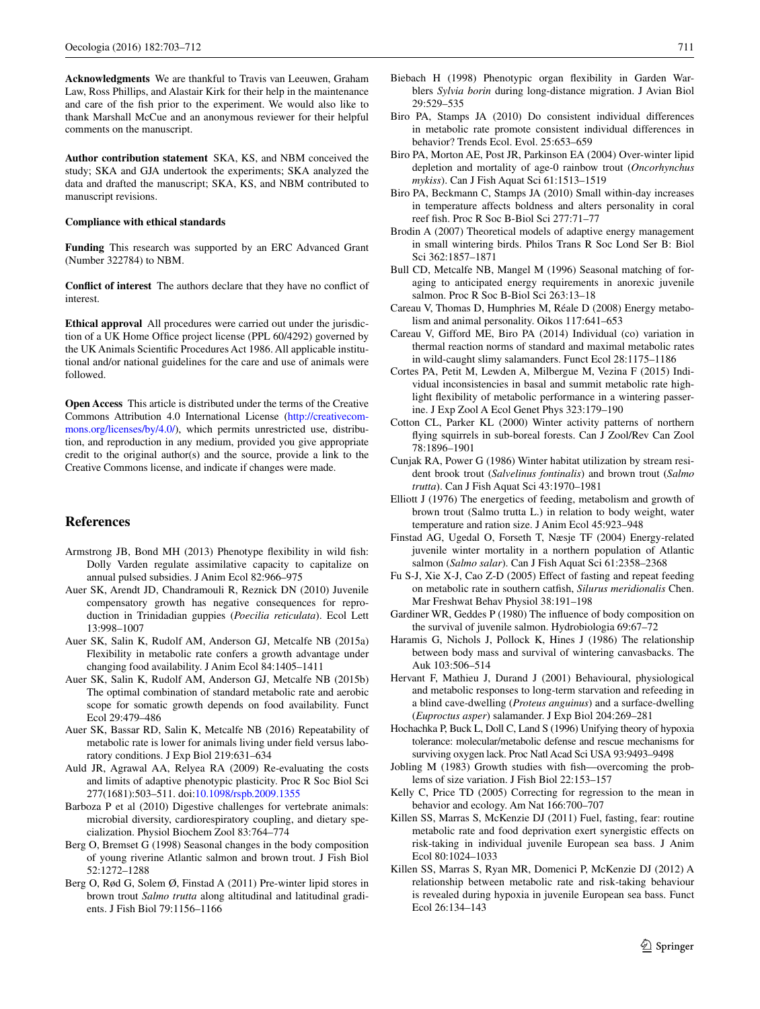**Acknowledgments** We are thankful to Travis van Leeuwen, Graham Law, Ross Phillips, and Alastair Kirk for their help in the maintenance and care of the fish prior to the experiment. We would also like to thank Marshall McCue and an anonymous reviewer for their helpful comments on the manuscript.

**Author contribution statement** SKA, KS, and NBM conceived the study; SKA and GJA undertook the experiments; SKA analyzed the data and drafted the manuscript; SKA, KS, and NBM contributed to manuscript revisions.

#### **Compliance with ethical standards**

**Funding** This research was supported by an ERC Advanced Grant (Number 322784) to NBM.

**Conflict of interest** The authors declare that they have no conflict of interest.

**Ethical approval** All procedures were carried out under the jurisdiction of a UK Home Office project license (PPL 60/4292) governed by the UK Animals Scientific Procedures Act 1986. All applicable institutional and/or national guidelines for the care and use of animals were followed.

**Open Access** This article is distributed under the terms of the Creative Commons Attribution 4.0 International License ([http://creativecom](http://creativecommons.org/licenses/by/4.0/)[mons.org/licenses/by/4.0/](http://creativecommons.org/licenses/by/4.0/)), which permits unrestricted use, distribution, and reproduction in any medium, provided you give appropriate credit to the original author(s) and the source, provide a link to the Creative Commons license, and indicate if changes were made.

## **References**

- <span id="page-8-26"></span>Armstrong JB, Bond MH (2013) Phenotype flexibility in wild fish: Dolly Varden regulate assimilative capacity to capitalize on annual pulsed subsidies. J Anim Ecol 82:966–975
- <span id="page-8-18"></span>Auer SK, Arendt JD, Chandramouli R, Reznick DN (2010) Juvenile compensatory growth has negative consequences for reproduction in Trinidadian guppies (*Poecilia reticulata*). Ecol Lett 13:998–1007
- <span id="page-8-6"></span>Auer SK, Salin K, Rudolf AM, Anderson GJ, Metcalfe NB (2015a) Flexibility in metabolic rate confers a growth advantage under changing food availability. J Anim Ecol 84:1405–1411
- <span id="page-8-15"></span>Auer SK, Salin K, Rudolf AM, Anderson GJ, Metcalfe NB (2015b) The optimal combination of standard metabolic rate and aerobic scope for somatic growth depends on food availability. Funct Ecol 29:479–486
- <span id="page-8-21"></span>Auer SK, Bassar RD, Salin K, Metcalfe NB (2016) Repeatability of metabolic rate is lower for animals living under field versus laboratory conditions. J Exp Biol 219:631–634
- <span id="page-8-27"></span>Auld JR, Agrawal AA, Relyea RA (2009) Re-evaluating the costs and limits of adaptive phenotypic plasticity. Proc R Soc Biol Sci 277(1681):503–511. doi[:10.1098/rspb.2009.1355](http://dx.doi.org/10.1098/rspb.2009.1355)
- <span id="page-8-28"></span>Barboza P et al (2010) Digestive challenges for vertebrate animals: microbial diversity, cardiorespiratory coupling, and dietary specialization. Physiol Biochem Zool 83:764–774
- <span id="page-8-0"></span>Berg O, Bremset G (1998) Seasonal changes in the body composition of young riverine Atlantic salmon and brown trout. J Fish Biol 52:1272–1288
- <span id="page-8-17"></span>Berg O, Rød G, Solem Ø, Finstad A (2011) Pre-winter lipid stores in brown trout *Salmo trutta* along altitudinal and latitudinal gradients. J Fish Biol 79:1156–1166
- <span id="page-8-29"></span>Biebach H (1998) Phenotypic organ flexibility in Garden Warblers *Sylvia borin* during long-distance migration. J Avian Biol 29:529–535
- <span id="page-8-13"></span>Biro PA, Stamps JA (2010) Do consistent individual differences in metabolic rate promote consistent individual differences in behavior? Trends Ecol. Evol. 25:653–659
- <span id="page-8-2"></span>Biro PA, Morton AE, Post JR, Parkinson EA (2004) Over-winter lipid depletion and mortality of age-0 rainbow trout (*Oncorhynchus mykiss*). Can J Fish Aquat Sci 61:1513–1519
- <span id="page-8-22"></span>Biro PA, Beckmann C, Stamps JA (2010) Small within-day increases in temperature affects boldness and alters personality in coral reef fish. Proc R Soc B-Biol Sci 277:71–77
- <span id="page-8-30"></span>Brodin A (2007) Theoretical models of adaptive energy management in small wintering birds. Philos Trans R Soc Lond Ser B: Biol Sci 362:1857–1871
- <span id="page-8-4"></span>Bull CD, Metcalfe NB, Mangel M (1996) Seasonal matching of foraging to anticipated energy requirements in anorexic juvenile salmon. Proc R Soc B-Biol Sci 263:13–18
- <span id="page-8-12"></span>Careau V, Thomas D, Humphries M, Réale D (2008) Energy metabolism and animal personality. Oikos 117:641–653
- <span id="page-8-25"></span>Careau V, Gifford ME, Biro PA (2014) Individual (co) variation in thermal reaction norms of standard and maximal metabolic rates in wild-caught slimy salamanders. Funct Ecol 28:1175–1186
- <span id="page-8-24"></span>Cortes PA, Petit M, Lewden A, Milbergue M, Vezina F (2015) Individual inconsistencies in basal and summit metabolic rate highlight flexibility of metabolic performance in a wintering passerine. J Exp Zool A Ecol Genet Phys 323:179–190
- <span id="page-8-10"></span>Cotton CL, Parker KL (2000) Winter activity patterns of northern flying squirrels in sub-boreal forests. Can J Zool/Rev Can Zool 78:1896–1901
- <span id="page-8-9"></span>Cunjak RA, Power G (1986) Winter habitat utilization by stream resident brook trout (*Salvelinus fontinalis*) and brown trout (*Salmo trutta*). Can J Fish Aquat Sci 43:1970–1981
- <span id="page-8-16"></span>Elliott J (1976) The energetics of feeding, metabolism and growth of brown trout (Salmo trutta L.) in relation to body weight, water temperature and ration size. J Anim Ecol 45:923–948
- <span id="page-8-3"></span>Finstad AG, Ugedal O, Forseth T, Næsje TF (2004) Energy-related juvenile winter mortality in a northern population of Atlantic salmon (*Salmo salar*). Can J Fish Aquat Sci 61:2358–2368
- <span id="page-8-7"></span>Fu S-J, Xie X-J, Cao Z-D (2005) Effect of fasting and repeat feeding on metabolic rate in southern catfish, *Silurus meridionalis* Chen. Mar Freshwat Behav Physiol 38:191–198
- <span id="page-8-8"></span>Gardiner WR, Geddes P (1980) The influence of body composition on the survival of juvenile salmon. Hydrobiologia 69:67–72
- <span id="page-8-1"></span>Haramis G, Nichols J, Pollock K, Hines J (1986) The relationship between body mass and survival of wintering canvasbacks. The Auk 103:506–514
- <span id="page-8-5"></span>Hervant F, Mathieu J, Durand J (2001) Behavioural, physiological and metabolic responses to long-term starvation and refeeding in a blind cave-dwelling (*Proteus anguinus*) and a surface-dwelling (*Euproctus asper*) salamander. J Exp Biol 204:269–281
- <span id="page-8-23"></span>Hochachka P, Buck L, Doll C, Land S (1996) Unifying theory of hypoxia tolerance: molecular/metabolic defense and rescue mechanisms for surviving oxygen lack. Proc Natl Acad Sci USA 93:9493–9498
- <span id="page-8-19"></span>Jobling M (1983) Growth studies with fish—overcoming the problems of size variation. J Fish Biol 22:153–157
- <span id="page-8-20"></span>Kelly C, Price TD (2005) Correcting for regression to the mean in behavior and ecology. Am Nat 166:700–707
- <span id="page-8-11"></span>Killen SS, Marras S, McKenzie DJ (2011) Fuel, fasting, fear: routine metabolic rate and food deprivation exert synergistic effects on risk-taking in individual juvenile European sea bass. J Anim Ecol 80:1024–1033
- <span id="page-8-14"></span>Killen SS, Marras S, Ryan MR, Domenici P, McKenzie DJ (2012) A relationship between metabolic rate and risk-taking behaviour is revealed during hypoxia in juvenile European sea bass. Funct Ecol 26:134–143